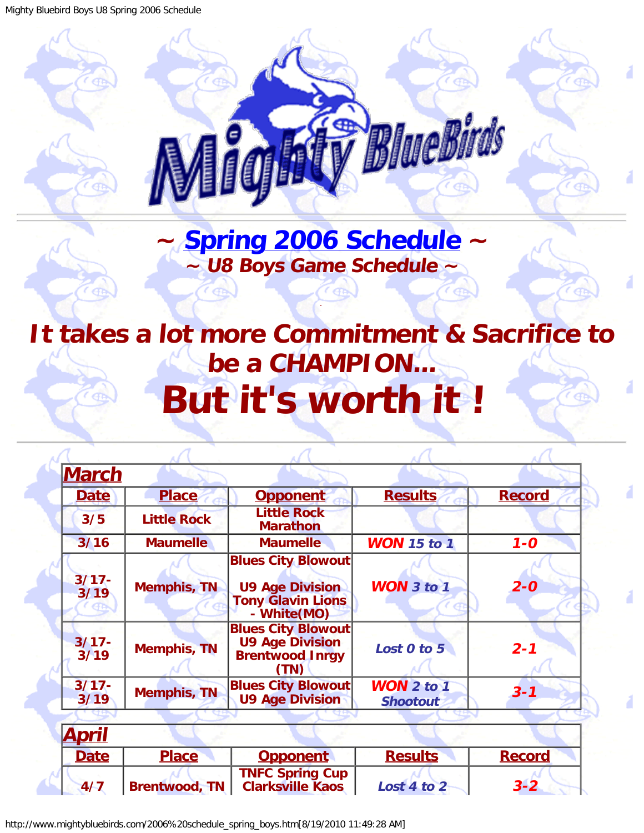<span id="page-0-0"></span>Mighty Bluebird Boys U8 Spring 2006 Schedule



## **~ [Spring 2006 Schedule](#page-0-0) ~ ~ U8 Boys Game Schedule ~**

.

 $\epsilon$  GP

## <span id="page-0-1"></span>**It takes a lot more Commitment & Sacrifice to be a CHAMPION... But it's worth it !**

| <b>March</b>     |                      |                                                                                                |                                 |               |
|------------------|----------------------|------------------------------------------------------------------------------------------------|---------------------------------|---------------|
| <b>Date</b>      | <b>Place</b>         | <b>Opponent</b>                                                                                | <b>Results</b>                  | <b>Record</b> |
| 3/5              | <b>Little Rock</b>   | <b>Little Rock</b><br><b>Marathon</b>                                                          |                                 |               |
| 3/16             | <b>Maumelle</b>      | <b>Maumelle</b>                                                                                | <b>WON</b> 15 to 1              | $1 - 0$       |
| $3/17 -$<br>3/19 | <b>Memphis, TN</b>   | <b>Blues City Blowout</b><br><b>U9 Age Division</b><br><b>Tony Glavin Lions</b><br>- White(MO) | <b>WON</b> 3 to 1               | $2 - 0$       |
| $3/17 -$<br>3/19 | <b>Memphis, TN</b>   | <b>Blues City Blowout</b><br><b>U9 Age Division</b><br><b>Brentwood Inrgy</b><br>(TN)          | Lost 0 to 5                     | $2 - 1$       |
| $3/17 -$<br>3/19 | <b>Memphis, TN</b>   | <b>Blues City Blowout</b><br><b>U9 Age Division</b>                                            | $WON$ 2 to 1<br><b>Shootout</b> | $3 - 1$       |
| <u>April</u>     |                      |                                                                                                |                                 |               |
| <b>Date</b>      | <b>Place</b>         |                                                                                                | <b>Results</b>                  | <b>Record</b> |
|                  |                      | <b>Opponent</b>                                                                                |                                 |               |
| 4/7              | <b>Brentwood, TN</b> | <b>TNFC Spring Cup</b><br><b>Clarksville Kaos</b>                                              | Lost 4 to 2                     | $3 - 2$       |

http://www.mightybluebirds.com/2006%20schedule\_spring\_boys.htm[8/19/2010 11:49:28 AM]